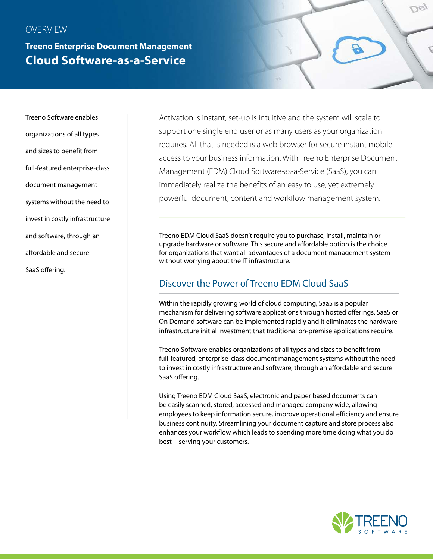#### **OVERVIEW**

**Treeno Enterprise Document Management Cloud Software-as-a-Service**

Treeno Software enables organizations of all types and sizes to benefit from full-featured enterprise-class document management systems without the need to invest in costly infrastructure and software, through an affordable and secure SaaS offering.

Activation is instant, set-up is intuitive and the system will scale to support one single end user or as many users as your organization requires. All that is needed is a web browser for secure instant mobile access to your business information. With Treeno Enterprise Document Management (EDM) Cloud Software-as-a-Service (SaaS), you can immediately realize the benefits of an easy to use, yet extremely powerful document, content and workflow management system.

Treeno EDM Cloud SaaS doesn't require you to purchase, install, maintain or upgrade hardware or software. This secure and affordable option is the choice for organizations that want all advantages of a document management system without worrying about the IT infrastructure.

#### Discover the Power of Treeno EDM Cloud SaaS

Within the rapidly growing world of cloud computing, SaaS is a popular mechanism for delivering software applications through hosted offerings. SaaS or On Demand software can be implemented rapidly and it eliminates the hardware infrastructure initial investment that traditional on-premise applications require.

Treeno Software enables organizations of all types and sizes to benefit from full-featured, enterprise-class document management systems without the need to invest in costly infrastructure and software, through an affordable and secure SaaS offering.

Using Treeno EDM Cloud SaaS, electronic and paper based documents can be easily scanned, stored, accessed and managed company wide, allowing employees to keep information secure, improve operational efficiency and ensure business continuity. Streamlining your document capture and store process also enhances your workflow which leads to spending more time doing what you do best—serving your customers.



Usy